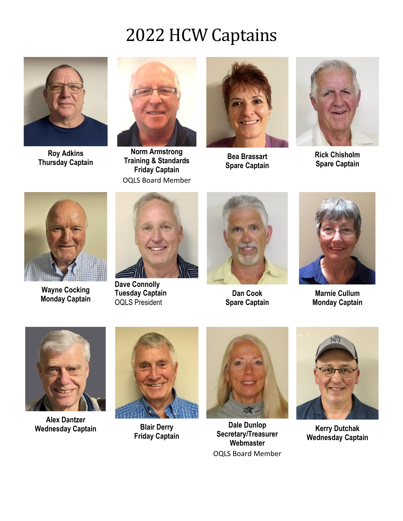

**Roy Adkins Thursday Captain**



**Norm Armstrong Training & Standards Friday Captain** OQLS Board Member



**Bea Brassart Spare Captain**



**Rick Chisholm Spare Captain**



**Wayne Cocking Monday Captain**



**Dave Connolly Tuesday Captain** OQLS President



**Dan Cook Spare Captain**



**Marnie Cullum Monday Captain**



**Alex Dantzer Wednesday Captain Blair Derry**



**Friday Captain**



**Dale Dunlop Secretary/Treasurer Webmaster** OQLS Board Member



**Kerry Dutchak Wednesday Captain**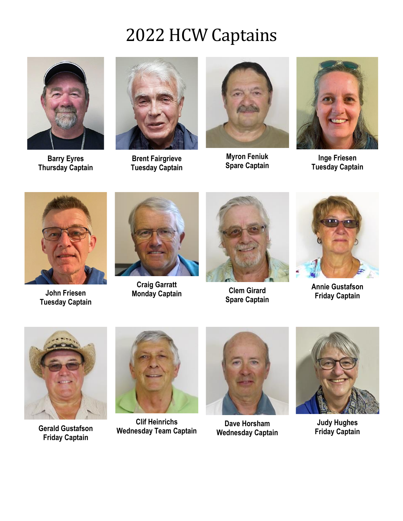

**Barry Eyres Thursday Captain**



**Brent Fairgrieve Tuesday Captain**



**Myron Feniuk Spare Captain**



**Inge Friesen Tuesday Captain**



**John Friesen Tuesday Captain**



**Craig Garratt Monday Captain Clem Girard**



**Spare Captain**



**Annie Gustafson Friday Captain**



**Gerald Gustafson Friday Captain**



**Clif Heinrichs Wednesday Team Captain**



**Dave Horsham Wednesday Captain**



**Judy Hughes Friday Captain**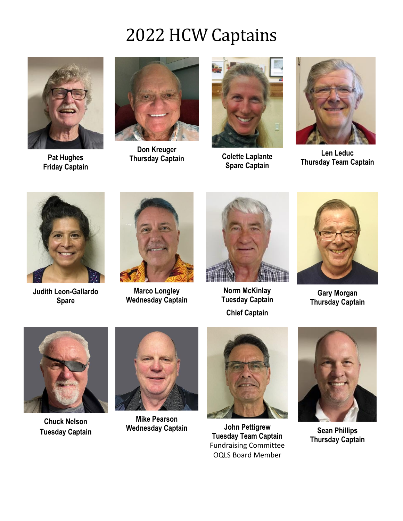

**Pat Hughes Friday Captain**



**Don Kreuger Thursday Captain Colette Laplante** 



**Spare Captain**



**Len Leduc Thursday Team Captain**



**Judith Leon-Gallardo Spare**



**Marco Longley Wednesday Captain**



**Norm McKinlay Tuesday Captain Chief Captain**



**Gary Morgan Thursday Captain**



**Chuck Nelson Tuesday Captain**



**Mike Pearson Wednesday Captain John Pettigrew**



**Tuesday Team Captain** Fundraising Committee OQLS Board Member



**Sean Phillips Thursday Captain**